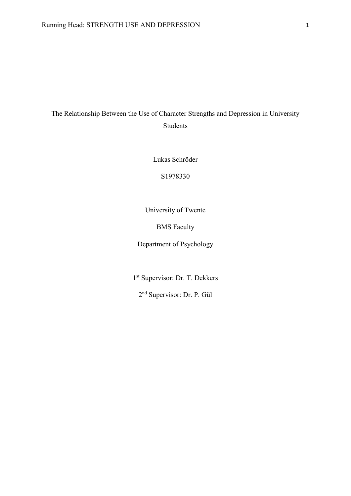# The Relationship Between the Use of Character Strengths and Depression in University Students

Lukas Schröder

S1978330

University of Twente

BMS Faculty

Department of Psychology

1 st Supervisor: Dr. T. Dekkers

2 nd Supervisor: Dr. P. Gül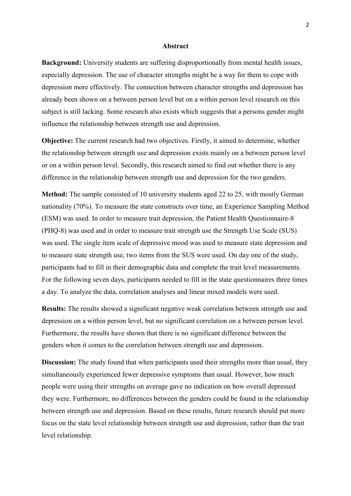#### **Abstract**

**Background:** University students are suffering disproportionally from mental health issues, especially depression. The use of character strengths might be a way for them to cope with depression more effectively. The connection between character strengths and depression has already been shown on a between person level but on a within person level research on this subject is still lacking. Some research also exists which suggests that a persons gender might influence the relationship between strength use and depression.

**Objective:** The current research had two objectives. Firstly, it aimed to determine, whether the relationship between strength use and depression exists mainly on a between person level or on a within person level. Secondly, this research aimed to find out whether there is any difference in the relationship between strength use and depression for the two genders.

**Method:** The sample consisted of 10 university students aged 22 to 25, with mostly German nationality (70%). To measure the state constructs over time, an Experience Sampling Method (ESM) was used. In order to measure trait depression, the Patient Health Questionnaire-8 (PHQ-8) was used and in order to measure trait strength use the Strength Use Scale (SUS) was used. The single item scale of depressive mood was used to measure state depression and to measure state strength use, two items from the SUS were used. On day one of the study, participants had to fill in their demographic data and complete the trait level measurements. For the following seven days, participants needed to fill in the state questionnaires three times a day. To analyze the data, correlation analyses and linear mixed models were used.

**Results:** The results showed a significant negative weak correlation between strength use and depression on a within person level, but no significant correlation on a between person level. Furthermore, the results have shown that there is no significant difference between the genders when it comes to the correlation between strength use and depression.

**Discussion:** The study found that when participants used their strengths more than usual, they simultaneously experienced fewer depressive symptoms than usual. However, how much people were using their strengths on average gave no indication on how overall depressed they were. Furthermore, no differences between the genders could be found in the relationship between strength use and depression. Based on these results, future research should put more focus on the state level relationship between strength use and depression, rather than the trait level relationship.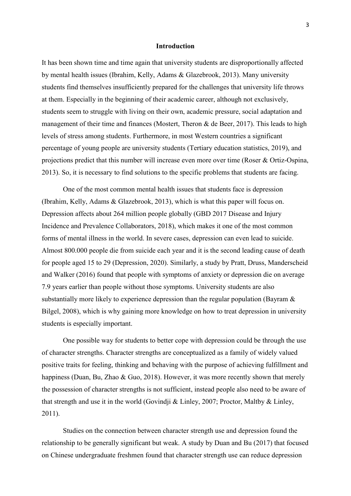# **Introduction**

It has been shown time and time again that university students are disproportionally affected by mental health issues (Ibrahim, Kelly, Adams & Glazebrook, 2013). Many university students find themselves insufficiently prepared for the challenges that university life throws at them. Especially in the beginning of their academic career, although not exclusively, students seem to struggle with living on their own, academic pressure, social adaptation and management of their time and finances (Mostert, Theron & de Beer, 2017). This leads to high levels of stress among students. Furthermore, in most Western countries a significant percentage of young people are university students (Tertiary education statistics, 2019), and projections predict that this number will increase even more over time (Roser & Ortiz-Ospina, 2013). So, it is necessary to find solutions to the specific problems that students are facing.

One of the most common mental health issues that students face is depression (Ibrahim, Kelly, Adams & Glazebrook, 2013), which is what this paper will focus on. Depression affects about 264 million people globally (GBD 2017 Disease and Injury Incidence and Prevalence Collaborators, 2018), which makes it one of the most common forms of mental illness in the world. In severe cases, depression can even lead to suicide. Almost 800.000 people die from suicide each year and it is the second leading cause of death for people aged 15 to 29 (Depression, 2020). Similarly, a study by Pratt, Druss, Manderscheid and Walker (2016) found that people with symptoms of anxiety or depression die on average 7.9 years earlier than people without those symptoms. University students are also substantially more likely to experience depression than the regular population (Bayram & Bilgel, 2008), which is why gaining more knowledge on how to treat depression in university students is especially important.

One possible way for students to better cope with depression could be through the use of character strengths. Character strengths are conceptualized as a family of widely valued positive traits for feeling, thinking and behaving with the purpose of achieving fulfillment and happiness (Duan, Bu, Zhao & Guo, 2018). However, it was more recently shown that merely the possession of character strengths is not sufficient, instead people also need to be aware of that strength and use it in the world (Govindji & Linley, 2007; Proctor, Maltby & Linley, 2011).

Studies on the connection between character strength use and depression found the relationship to be generally significant but weak. A study by Duan and Bu (2017) that focused on Chinese undergraduate freshmen found that character strength use can reduce depression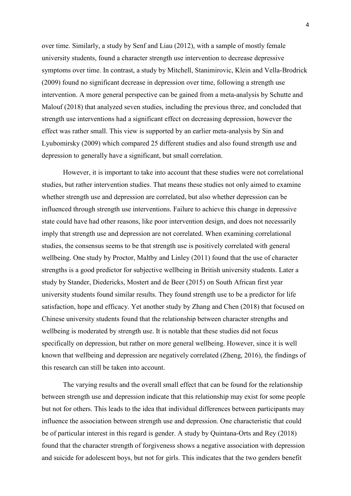over time. Similarly, a study by Senf and Liau (2012), with a sample of mostly female university students, found a character strength use intervention to decrease depressive symptoms over time. In contrast, a study by Mitchell, Stanimirovic, Klein and Vella-Brodrick (2009) found no significant decrease in depression over time, following a strength use intervention. A more general perspective can be gained from a meta-analysis by Schutte and Malouf (2018) that analyzed seven studies, including the previous three, and concluded that strength use interventions had a significant effect on decreasing depression, however the effect was rather small. This view is supported by an earlier meta-analysis by Sin and Lyubomirsky (2009) which compared 25 different studies and also found strength use and depression to generally have a significant, but small correlation.

However, it is important to take into account that these studies were not correlational studies, but rather intervention studies. That means these studies not only aimed to examine whether strength use and depression are correlated, but also whether depression can be influenced through strength use interventions. Failure to achieve this change in depressive state could have had other reasons, like poor intervention design, and does not necessarily imply that strength use and depression are not correlated. When examining correlational studies, the consensus seems to be that strength use is positively correlated with general wellbeing. One study by Proctor, Maltby and Linley (2011) found that the use of character strengths is a good predictor for subjective wellbeing in British university students. Later a study by Stander, Diedericks, Mostert and de Beer (2015) on South African first year university students found similar results. They found strength use to be a predictor for life satisfaction, hope and efficacy. Yet another study by Zhang and Chen (2018) that focused on Chinese university students found that the relationship between character strengths and wellbeing is moderated by strength use. It is notable that these studies did not focus specifically on depression, but rather on more general wellbeing. However, since it is well known that wellbeing and depression are negatively correlated (Zheng, 2016), the findings of this research can still be taken into account.

The varying results and the overall small effect that can be found for the relationship between strength use and depression indicate that this relationship may exist for some people but not for others. This leads to the idea that individual differences between participants may influence the association between strength use and depression. One characteristic that could be of particular interest in this regard is gender. A study by Quintana-Orts and Rey (2018) found that the character strength of forgiveness shows a negative association with depression and suicide for adolescent boys, but not for girls. This indicates that the two genders benefit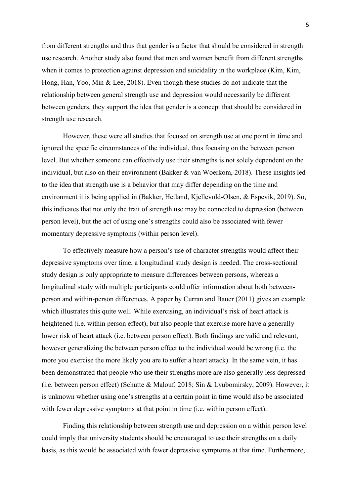from different strengths and thus that gender is a factor that should be considered in strength use research. Another study also found that men and women benefit from different strengths when it comes to protection against depression and suicidality in the workplace (Kim, Kim, Hong, Han, Yoo, Min & Lee, 2018). Even though these studies do not indicate that the relationship between general strength use and depression would necessarily be different between genders, they support the idea that gender is a concept that should be considered in strength use research.

However, these were all studies that focused on strength use at one point in time and ignored the specific circumstances of the individual, thus focusing on the between person level. But whether someone can effectively use their strengths is not solely dependent on the individual, but also on their environment (Bakker & van Woerkom, 2018). These insights led to the idea that strength use is a behavior that may differ depending on the time and environment it is being applied in (Bakker, Hetland, Kjellevold-Olsen, & Espevik, 2019). So, this indicates that not only the trait of strength use may be connected to depression (between person level), but the act of using one's strengths could also be associated with fewer momentary depressive symptoms (within person level).

To effectively measure how a person's use of character strengths would affect their depressive symptoms over time, a longitudinal study design is needed. The cross-sectional study design is only appropriate to measure differences between persons, whereas a longitudinal study with multiple participants could offer information about both betweenperson and within-person differences. A paper by Curran and Bauer (2011) gives an example which illustrates this quite well. While exercising, an individual's risk of heart attack is heightened (i.e. within person effect), but also people that exercise more have a generally lower risk of heart attack (i.e. between person effect). Both findings are valid and relevant, however generalizing the between person effect to the individual would be wrong (i.e. the more you exercise the more likely you are to suffer a heart attack). In the same vein, it has been demonstrated that people who use their strengths more are also generally less depressed (i.e. between person effect) (Schutte & Malouf, 2018; Sin & Lyubomirsky, 2009). However, it is unknown whether using one's strengths at a certain point in time would also be associated with fewer depressive symptoms at that point in time (i.e. within person effect).

Finding this relationship between strength use and depression on a within person level could imply that university students should be encouraged to use their strengths on a daily basis, as this would be associated with fewer depressive symptoms at that time. Furthermore,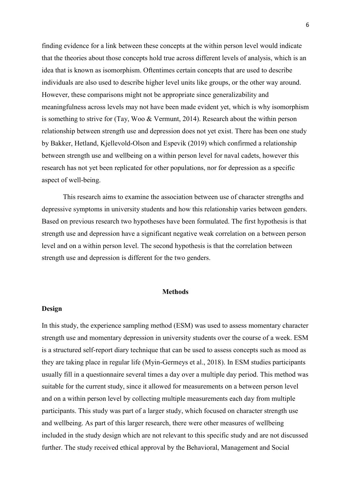finding evidence for a link between these concepts at the within person level would indicate that the theories about those concepts hold true across different levels of analysis, which is an idea that is known as isomorphism. Oftentimes certain concepts that are used to describe individuals are also used to describe higher level units like groups, or the other way around. However, these comparisons might not be appropriate since generalizability and meaningfulness across levels may not have been made evident yet, which is why isomorphism is something to strive for (Tay, Woo & Vermunt, 2014). Research about the within person relationship between strength use and depression does not yet exist. There has been one study by Bakker, Hetland, Kjellevold-Olson and Espevik (2019) which confirmed a relationship between strength use and wellbeing on a within person level for naval cadets, however this research has not yet been replicated for other populations, nor for depression as a specific aspect of well-being.

This research aims to examine the association between use of character strengths and depressive symptoms in university students and how this relationship varies between genders. Based on previous research two hypotheses have been formulated. The first hypothesis is that strength use and depression have a significant negative weak correlation on a between person level and on a within person level. The second hypothesis is that the correlation between strength use and depression is different for the two genders.

### **Methods**

### **Design**

In this study, the experience sampling method (ESM) was used to assess momentary character strength use and momentary depression in university students over the course of a week. ESM is a structured self-report diary technique that can be used to assess concepts such as mood as they are taking place in regular life (Myin-Germeys et al., 2018). In ESM studies participants usually fill in a questionnaire several times a day over a multiple day period. This method was suitable for the current study, since it allowed for measurements on a between person level and on a within person level by collecting multiple measurements each day from multiple participants. This study was part of a larger study, which focused on character strength use and wellbeing. As part of this larger research, there were other measures of wellbeing included in the study design which are not relevant to this specific study and are not discussed further. The study received ethical approval by the Behavioral, Management and Social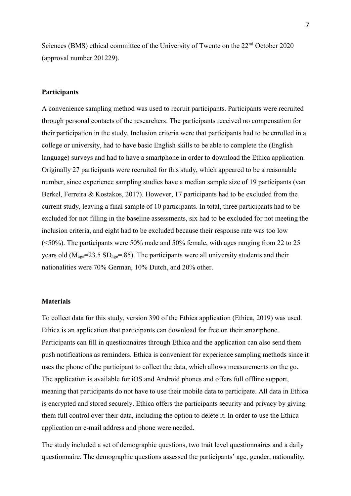Sciences (BMS) ethical committee of the University of Twente on the 22<sup>nd</sup> October 2020 (approval number 201229).

### **Participants**

A convenience sampling method was used to recruit participants. Participants were recruited through personal contacts of the researchers. The participants received no compensation for their participation in the study. Inclusion criteria were that participants had to be enrolled in a college or university, had to have basic English skills to be able to complete the (English language) surveys and had to have a smartphone in order to download the Ethica application. Originally 27 participants were recruited for this study, which appeared to be a reasonable number, since experience sampling studies have a median sample size of 19 participants (van Berkel, Ferreira & Kostakos, 2017). However, 17 participants had to be excluded from the current study, leaving a final sample of 10 participants. In total, three participants had to be excluded for not filling in the baseline assessments, six had to be excluded for not meeting the inclusion criteria, and eight had to be excluded because their response rate was too low (<50%). The participants were 50% male and 50% female, with ages ranging from 22 to 25 years old  $(M<sub>age</sub>=23.5 SD<sub>age</sub>=.85)$ . The participants were all university students and their nationalities were 70% German, 10% Dutch, and 20% other.

# **Materials**

To collect data for this study, version 390 of the Ethica application (Ethica, 2019) was used. Ethica is an application that participants can download for free on their smartphone. Participants can fill in questionnaires through Ethica and the application can also send them push notifications as reminders. Ethica is convenient for experience sampling methods since it uses the phone of the participant to collect the data, which allows measurements on the go. The application is available for iOS and Android phones and offers full offline support, meaning that participants do not have to use their mobile data to participate. All data in Ethica is encrypted and stored securely. Ethica offers the participants security and privacy by giving them full control over their data, including the option to delete it. In order to use the Ethica application an e-mail address and phone were needed.

The study included a set of demographic questions, two trait level questionnaires and a daily questionnaire. The demographic questions assessed the participants' age, gender, nationality,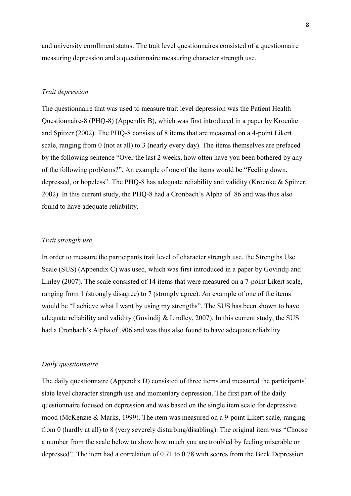and university enrollment status. The trait level questionnaires consisted of a questionnaire measuring depression and a questionnaire measuring character strength use.

#### *Trait depression*

The questionnaire that was used to measure trait level depression was the Patient Health Questionnaire-8 (PHQ-8) (Appendix B), which was first introduced in a paper by Kroenke and Spitzer (2002). The PHQ-8 consists of 8 items that are measured on a 4-point Likert scale, ranging from 0 (not at all) to 3 (nearly every day). The items themselves are prefaced by the following sentence "Over the last 2 weeks, how often have you been bothered by any of the following problems?". An example of one of the items would be "Feeling down, depressed, or hopeless". The PHQ-8 has adequate reliability and validity (Kroenke & Spitzer, 2002). In this current study, the PHQ-8 had a Cronbach's Alpha of .86 and was thus also found to have adequate reliability.

# *Trait strength use*

In order to measure the participants trait level of character strength use, the Strengths Use Scale (SUS) (Appendix C) was used, which was first introduced in a paper by Govindij and Linley (2007). The scale consisted of 14 items that were measured on a 7-point Likert scale, ranging from 1 (strongly disagree) to 7 (strongly agree). An example of one of the items would be "I achieve what I want by using my strengths". The SUS has been shown to have adequate reliability and validity (Govindij & Lindley, 2007). In this current study, the SUS had a Cronbach's Alpha of .906 and was thus also found to have adequate reliability.

# *Daily questionnaire*

The daily questionnaire (Appendix D) consisted of three items and measured the participants' state level character strength use and momentary depression. The first part of the daily questionnaire focused on depression and was based on the single item scale for depressive mood (McKenzie & Marks, 1999). The item was measured on a 9-point Likert scale, ranging from 0 (hardly at all) to 8 (very severely disturbing/disabling). The original item was "Choose a number from the scale below to show how much you are troubled by feeling miserable or depressed". The item had a correlation of 0.71 to 0.78 with scores from the Beck Depression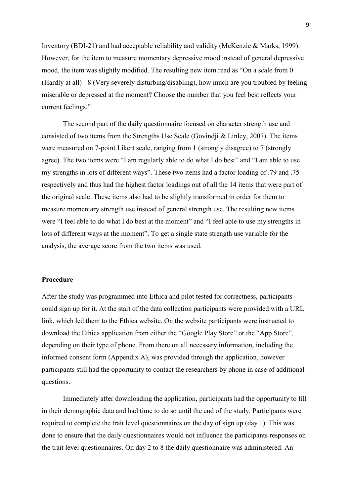Inventory (BDI-21) and had acceptable reliability and validity (McKenzie & Marks, 1999). However, for the item to measure momentary depressive mood instead of general depressive mood, the item was slightly modified. The resulting new item read as "On a scale from 0 (Hardly at all) - 8 (Very severely disturbing/disabling), how much are you troubled by feeling miserable or depressed at the moment? Choose the number that you feel best reflects your current feelings."

The second part of the daily questionnaire focused on character strength use and consisted of two items from the Strengths Use Scale (Govindji & Linley, 2007). The items were measured on 7-point Likert scale, ranging from 1 (strongly disagree) to 7 (strongly agree). The two items were "I am regularly able to do what I do best" and "I am able to use my strengths in lots of different ways". These two items had a factor loading of .79 and .75 respectively and thus had the highest factor loadings out of all the 14 items that were part of the original scale. These items also had to be slightly transformed in order for them to measure momentary strength use instead of general strength use. The resulting new items were "I feel able to do what I do best at the moment" and "I feel able to use my strengths in lots of different ways at the moment". To get a single state strength use variable for the analysis, the average score from the two items was used.

### **Procedure**

After the study was programmed into Ethica and pilot tested for correctness, participants could sign up for it. At the start of the data collection participants were provided with a URL link, which led them to the Ethica website. On the website participants were instructed to download the Ethica application from either the "Google Play Store" or the "App Store", depending on their type of phone. From there on all necessary information, including the informed consent form (Appendix A), was provided through the application, however participants still had the opportunity to contact the researchers by phone in case of additional questions.

Immediately after downloading the application, participants had the opportunity to fill in their demographic data and had time to do so until the end of the study. Participants were required to complete the trait level questionnaires on the day of sign up (day 1). This was done to ensure that the daily questionnaires would not influence the participants responses on the trait level questionnaires. On day 2 to 8 the daily questionnaire was administered. An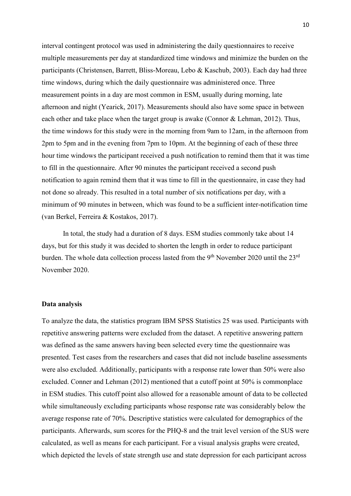interval contingent protocol was used in administering the daily questionnaires to receive multiple measurements per day at standardized time windows and minimize the burden on the participants (Christensen, Barrett, Bliss-Moreau, Lebo & Kaschub, 2003). Each day had three time windows, during which the daily questionnaire was administered once. Three measurement points in a day are most common in ESM, usually during morning, late afternoon and night (Yearick, 2017). Measurements should also have some space in between each other and take place when the target group is awake (Connor & Lehman, 2012). Thus, the time windows for this study were in the morning from 9am to 12am, in the afternoon from 2pm to 5pm and in the evening from 7pm to 10pm. At the beginning of each of these three hour time windows the participant received a push notification to remind them that it was time to fill in the questionnaire. After 90 minutes the participant received a second push notification to again remind them that it was time to fill in the questionnaire, in case they had not done so already. This resulted in a total number of six notifications per day, with a minimum of 90 minutes in between, which was found to be a sufficient inter-notification time (van Berkel, Ferreira & Kostakos, 2017).

In total, the study had a duration of 8 days. ESM studies commonly take about 14 days, but for this study it was decided to shorten the length in order to reduce participant burden. The whole data collection process lasted from the 9<sup>th</sup> November 2020 until the  $23<sup>rd</sup>$ November 2020.

## **Data analysis**

To analyze the data, the statistics program IBM SPSS Statistics 25 was used. Participants with repetitive answering patterns were excluded from the dataset. A repetitive answering pattern was defined as the same answers having been selected every time the questionnaire was presented. Test cases from the researchers and cases that did not include baseline assessments were also excluded. Additionally, participants with a response rate lower than 50% were also excluded. Conner and Lehman (2012) mentioned that a cutoff point at 50% is commonplace in ESM studies. This cutoff point also allowed for a reasonable amount of data to be collected while simultaneously excluding participants whose response rate was considerably below the average response rate of 70%. Descriptive statistics were calculated for demographics of the participants. Afterwards, sum scores for the PHQ-8 and the trait level version of the SUS were calculated, as well as means for each participant. For a visual analysis graphs were created, which depicted the levels of state strength use and state depression for each participant across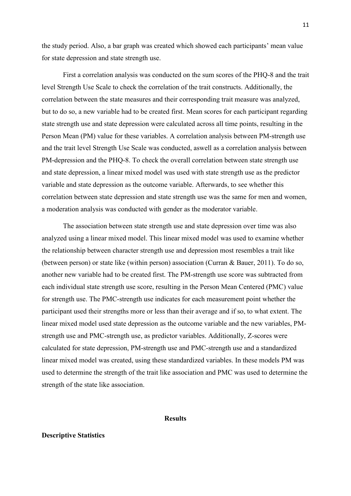the study period. Also, a bar graph was created which showed each participants' mean value for state depression and state strength use.

First a correlation analysis was conducted on the sum scores of the PHQ-8 and the trait level Strength Use Scale to check the correlation of the trait constructs. Additionally, the correlation between the state measures and their corresponding trait measure was analyzed, but to do so, a new variable had to be created first. Mean scores for each participant regarding state strength use and state depression were calculated across all time points, resulting in the Person Mean (PM) value for these variables. A correlation analysis between PM-strength use and the trait level Strength Use Scale was conducted, aswell as a correlation analysis between PM-depression and the PHQ-8. To check the overall correlation between state strength use and state depression, a linear mixed model was used with state strength use as the predictor variable and state depression as the outcome variable. Afterwards, to see whether this correlation between state depression and state strength use was the same for men and women, a moderation analysis was conducted with gender as the moderator variable.

The association between state strength use and state depression over time was also analyzed using a linear mixed model. This linear mixed model was used to examine whether the relationship between character strength use and depression most resembles a trait like (between person) or state like (within person) association (Curran & Bauer, 2011). To do so, another new variable had to be created first. The PM-strength use score was subtracted from each individual state strength use score, resulting in the Person Mean Centered (PMC) value for strength use. The PMC-strength use indicates for each measurement point whether the participant used their strengths more or less than their average and if so, to what extent. The linear mixed model used state depression as the outcome variable and the new variables, PMstrength use and PMC-strength use, as predictor variables. Additionally, Z-scores were calculated for state depression, PM-strength use and PMC-strength use and a standardized linear mixed model was created, using these standardized variables. In these models PM was used to determine the strength of the trait like association and PMC was used to determine the strength of the state like association.

### **Results**

# **Descriptive Statistics**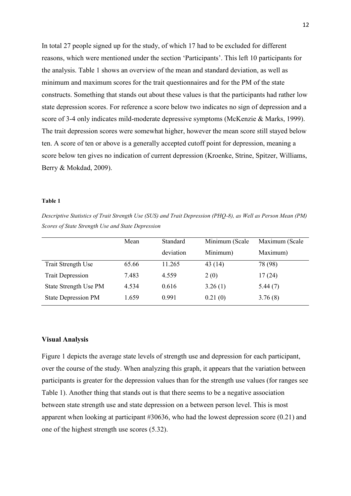In total 27 people signed up for the study, of which 17 had to be excluded for different reasons, which were mentioned under the section 'Participants'. This left 10 participants for the analysis. Table 1 shows an overview of the mean and standard deviation, as well as minimum and maximum scores for the trait questionnaires and for the PM of the state constructs. Something that stands out about these values is that the participants had rather low state depression scores. For reference a score below two indicates no sign of depression and a score of 3-4 only indicates mild-moderate depressive symptoms (McKenzie & Marks, 1999). The trait depression scores were somewhat higher, however the mean score still stayed below ten. A score of ten or above is a generally accepted cutoff point for depression, meaning a score below ten gives no indication of current depression (Kroenke, Strine, Spitzer, Williams, Berry & Mokdad, 2009).

#### **[Table 1](https://www.sciencedirect.com/science/article/pii/S0165032708002826?casa_token=oHK_MT_CzUwAAAAA:-q0Z8qeF4PPttL_Z0nIp5wXoezm-3qPht3CDJ_KihYlUwAzXPnGfXp_3WSiyy_CreiU7EyQn0Nk)**

*Descriptive Statistics of Trait Strength Use (SUS) and Trait Depression (PHQ-8), as Well as Person Mean (PM) Scores of State Strength Use and State Depression* 

|                            | Mean  | Standard  | Minimum (Scale | Maximum (Scale |
|----------------------------|-------|-----------|----------------|----------------|
|                            |       | deviation | Minimum)       | Maximum)       |
| Trait Strength Use         | 65.66 | 11.265    | 43(14)         | 78 (98)        |
| <b>Trait Depression</b>    | 7.483 | 4.559     | 2(0)           | 17(24)         |
| State Strength Use PM      | 4.534 | 0.616     | 3.26(1)        | 5.44(7)        |
| <b>State Depression PM</b> | 1.659 | 0.991     | 0.21(0)        | 3.76(8)        |

### **Visual Analysis**

Figure 1 depicts the average state levels of strength use and depression for each participant, over the course of the study. When analyzing this graph, it appears that the variation between participants is greater for the depression values than for the strength use values (for ranges see Table 1). Another thing that stands out is that there seems to be a negative association between state strength use and state depression on a between person level. This is most apparent when looking at participant #30636, who had the lowest depression score (0.21) and one of the highest strength use scores (5.32).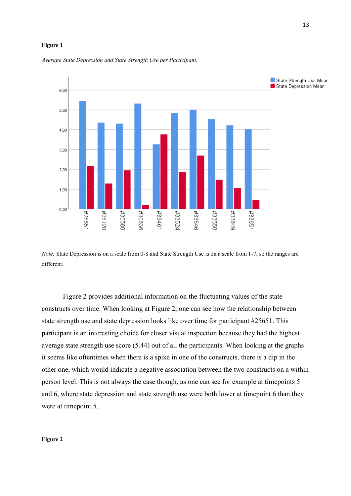#### **Figure 1**



*Average State Depression and State Strength Use per Participant.* 

*Note:* State Depression is on a scale from 0-8 and State Strength Use is on a scale from 1-7, so the ranges are different.

Figure 2 provides additional information on the fluctuating values of the state constructs over time. When looking at Figure 2, one can see how the relationship between state strength use and state depression looks like over time for participant #25651. This participant is an interesting choice for closer visual inspection because they had the highest average state strength use score (5.44) out of all the participants. When looking at the graphs it seems like oftentimes when there is a spike in one of the constructs, there is a dip in the other one, which would indicate a negative association between the two constructs on a within person level. This is not always the case though, as one can see for example at timepoints 5 and 6, where state depression and state strength use were both lower at timepoint 6 than they were at timepoint 5.

#### **Figure 2**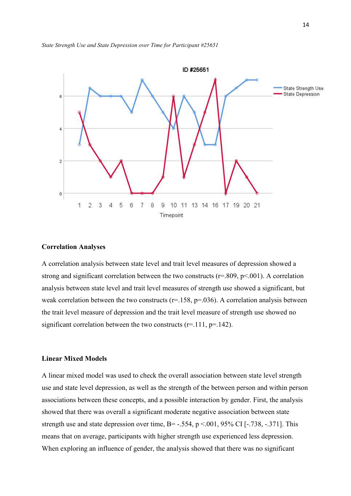



#### **Correlation Analyses**

A correlation analysis between state level and trait level measures of depression showed a strong and significant correlation between the two constructs ( $r=0.809$ ,  $p<0.01$ ). A correlation analysis between state level and trait level measures of strength use showed a significant, but weak correlation between the two constructs ( $r=158$ ,  $p=.036$ ). A correlation analysis between the trait level measure of depression and the trait level measure of strength use showed no significant correlation between the two constructs ( $r=111$ ,  $p=142$ ).

# **Linear Mixed Models**

A linear mixed model was used to check the overall association between state level strength use and state level depression, as well as the strength of the between person and within person associations between these concepts, and a possible interaction by gender. First, the analysis showed that there was overall a significant moderate negative association between state strength use and state depression over time,  $B = -.554$ ,  $p < .001$ , 95% CI [-.738, -.371]. This means that on average, participants with higher strength use experienced less depression. When exploring an influence of gender, the analysis showed that there was no significant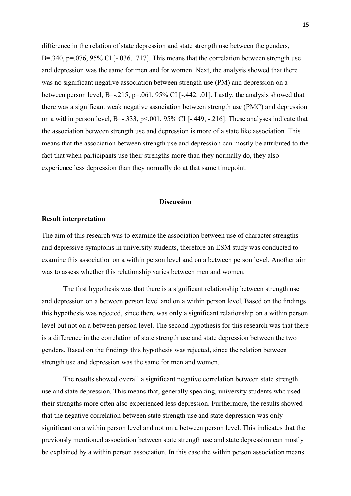difference in the relation of state depression and state strength use between the genders, B=.340, p=.076, 95% CI [ $-.036, .717$ ]. This means that the correlation between strength use and depression was the same for men and for women. Next, the analysis showed that there was no significant negative association between strength use (PM) and depression on a between person level, B=-.215, p=.061, 95% CI [-.442, .01]. Lastly, the analysis showed that there was a significant weak negative association between strength use (PMC) and depression on a within person level, B=-.333, p<.001, 95% CI [-.449, -.216]. These analyses indicate that the association between strength use and depression is more of a state like association. This means that the association between strength use and depression can mostly be attributed to the fact that when participants use their strengths more than they normally do, they also experience less depression than they normally do at that same timepoint.

### **Discussion**

# **Result interpretation**

The aim of this research was to examine the association between use of character strengths and depressive symptoms in university students, therefore an ESM study was conducted to examine this association on a within person level and on a between person level. Another aim was to assess whether this relationship varies between men and women.

The first hypothesis was that there is a significant relationship between strength use and depression on a between person level and on a within person level. Based on the findings this hypothesis was rejected, since there was only a significant relationship on a within person level but not on a between person level. The second hypothesis for this research was that there is a difference in the correlation of state strength use and state depression between the two genders. Based on the findings this hypothesis was rejected, since the relation between strength use and depression was the same for men and women.

The results showed overall a significant negative correlation between state strength use and state depression. This means that, generally speaking, university students who used their strengths more often also experienced less depression. Furthermore, the results showed that the negative correlation between state strength use and state depression was only significant on a within person level and not on a between person level. This indicates that the previously mentioned association between state strength use and state depression can mostly be explained by a within person association. In this case the within person association means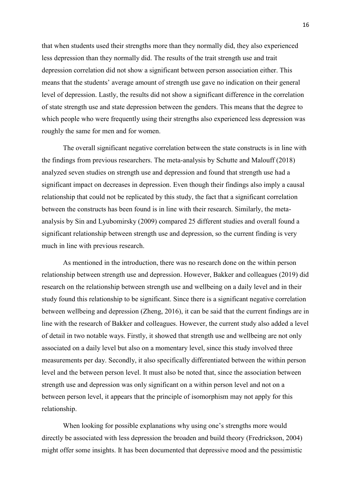that when students used their strengths more than they normally did, they also experienced less depression than they normally did. The results of the trait strength use and trait depression correlation did not show a significant between person association either. This means that the students' average amount of strength use gave no indication on their general level of depression. Lastly, the results did not show a significant difference in the correlation of state strength use and state depression between the genders. This means that the degree to which people who were frequently using their strengths also experienced less depression was roughly the same for men and for women.

The overall significant negative correlation between the state constructs is in line with the findings from previous researchers. The meta-analysis by Schutte and Malouff (2018) analyzed seven studies on strength use and depression and found that strength use had a significant impact on decreases in depression. Even though their findings also imply a causal relationship that could not be replicated by this study, the fact that a significant correlation between the constructs has been found is in line with their research. Similarly, the metaanalysis by Sin and Lyubomirsky (2009) compared 25 different studies and overall found a significant relationship between strength use and depression, so the current finding is very much in line with previous research.

As mentioned in the introduction, there was no research done on the within person relationship between strength use and depression. However, Bakker and colleagues (2019) did research on the relationship between strength use and wellbeing on a daily level and in their study found this relationship to be significant. Since there is a significant negative correlation between wellbeing and depression (Zheng, 2016), it can be said that the current findings are in line with the research of Bakker and colleagues. However, the current study also added a level of detail in two notable ways. Firstly, it showed that strength use and wellbeing are not only associated on a daily level but also on a momentary level, since this study involved three measurements per day. Secondly, it also specifically differentiated between the within person level and the between person level. It must also be noted that, since the association between strength use and depression was only significant on a within person level and not on a between person level, it appears that the principle of isomorphism may not apply for this relationship.

When looking for possible explanations why using one's strengths more would directly be associated with less depression the broaden and build theory (Fredrickson, 2004) might offer some insights. It has been documented that depressive mood and the pessimistic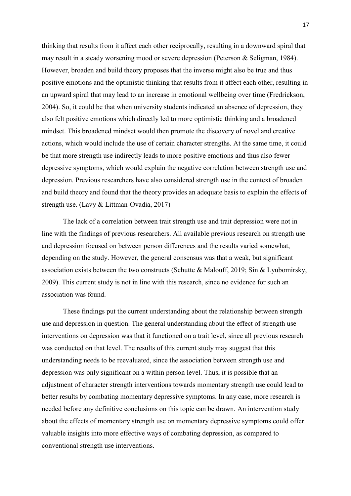thinking that results from it affect each other reciprocally, resulting in a downward spiral that may result in a steady worsening mood or severe depression (Peterson & Seligman, 1984). However, broaden and build theory proposes that the inverse might also be true and thus positive emotions and the optimistic thinking that results from it affect each other, resulting in an upward spiral that may lead to an increase in emotional wellbeing over time (Fredrickson, 2004). So, it could be that when university students indicated an absence of depression, they also felt positive emotions which directly led to more optimistic thinking and a broadened mindset. This broadened mindset would then promote the discovery of novel and creative actions, which would include the use of certain character strengths. At the same time, it could be that more strength use indirectly leads to more positive emotions and thus also fewer depressive symptoms, which would explain the negative correlation between strength use and depression. Previous researchers have also considered strength use in the context of broaden and build theory and found that the theory provides an adequate basis to explain the effects of strength use. (Lavy & Littman-Ovadia, 2017)

The lack of a correlation between trait strength use and trait depression were not in line with the findings of previous researchers. All available previous research on strength use and depression focused on between person differences and the results varied somewhat, depending on the study. However, the general consensus was that a weak, but significant association exists between the two constructs (Schutte & Malouff, 2019; Sin & Lyubomirsky, 2009). This current study is not in line with this research, since no evidence for such an association was found.

These findings put the current understanding about the relationship between strength use and depression in question. The general understanding about the effect of strength use interventions on depression was that it functioned on a trait level, since all previous research was conducted on that level. The results of this current study may suggest that this understanding needs to be reevaluated, since the association between strength use and depression was only significant on a within person level. Thus, it is possible that an adjustment of character strength interventions towards momentary strength use could lead to better results by combating momentary depressive symptoms. In any case, more research is needed before any definitive conclusions on this topic can be drawn. An intervention study about the effects of momentary strength use on momentary depressive symptoms could offer valuable insights into more effective ways of combating depression, as compared to conventional strength use interventions.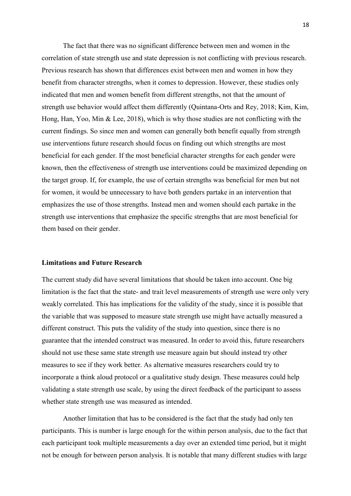The fact that there was no significant difference between men and women in the correlation of state strength use and state depression is not conflicting with previous research. Previous research has shown that differences exist between men and women in how they benefit from character strengths, when it comes to depression. However, these studies only indicated that men and women benefit from different strengths, not that the amount of strength use behavior would affect them differently (Quintana-Orts and Rey, 2018; Kim, Kim, Hong, Han, Yoo, Min & Lee, 2018), which is why those studies are not conflicting with the current findings. So since men and women can generally both benefit equally from strength use interventions future research should focus on finding out which strengths are most beneficial for each gender. If the most beneficial character strengths for each gender were known, then the effectiveness of strength use interventions could be maximized depending on the target group. If, for example, the use of certain strengths was beneficial for men but not for women, it would be unnecessary to have both genders partake in an intervention that emphasizes the use of those strengths. Instead men and women should each partake in the strength use interventions that emphasize the specific strengths that are most beneficial for them based on their gender.

# **Limitations and Future Research**

The current study did have several limitations that should be taken into account. One big limitation is the fact that the state- and trait level measurements of strength use were only very weakly correlated. This has implications for the validity of the study, since it is possible that the variable that was supposed to measure state strength use might have actually measured a different construct. This puts the validity of the study into question, since there is no guarantee that the intended construct was measured. In order to avoid this, future researchers should not use these same state strength use measure again but should instead try other measures to see if they work better. As alternative measures researchers could try to incorporate a think aloud protocol or a qualitative study design. These measures could help validating a state strength use scale, by using the direct feedback of the participant to assess whether state strength use was measured as intended.

Another limitation that has to be considered is the fact that the study had only ten participants. This is number is large enough for the within person analysis, due to the fact that each participant took multiple measurements a day over an extended time period, but it might not be enough for between person analysis. It is notable that many different studies with large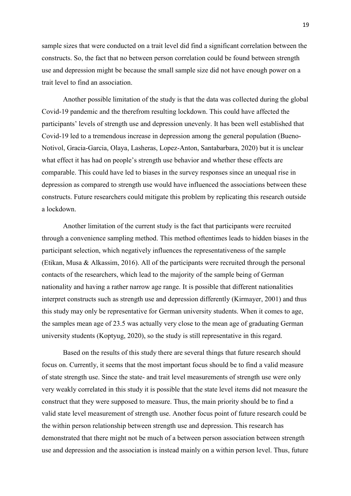sample sizes that were conducted on a trait level did find a significant correlation between the constructs. So, the fact that no between person correlation could be found between strength use and depression might be because the small sample size did not have enough power on a trait level to find an association.

Another possible limitation of the study is that the data was collected during the global Covid-19 pandemic and the therefrom resulting lockdown. This could have affected the participants' levels of strength use and depression unevenly. It has been well established that Covid-19 led to a tremendous increase in depression among the general population (Bueno-Notivol, Gracia-Garcia, Olaya, Lasheras, Lopez-Anton, Santabarbara, 2020) but it is unclear what effect it has had on people's strength use behavior and whether these effects are comparable. This could have led to biases in the survey responses since an unequal rise in depression as compared to strength use would have influenced the associations between these constructs. Future researchers could mitigate this problem by replicating this research outside a lockdown.

Another limitation of the current study is the fact that participants were recruited through a convenience sampling method. This method oftentimes leads to hidden biases in the participant selection, which negatively influences the representativeness of the sample (Etikan, Musa & Alkassim, 2016). All of the participants were recruited through the personal contacts of the researchers, which lead to the majority of the sample being of German nationality and having a rather narrow age range. It is possible that different nationalities interpret constructs such as strength use and depression differently (Kirmayer, 2001) and thus this study may only be representative for German university students. When it comes to age, the samples mean age of 23.5 was actually very close to the mean age of graduating German university students (Koptyug, 2020), so the study is still representative in this regard.

Based on the results of this study there are several things that future research should focus on. Currently, it seems that the most important focus should be to find a valid measure of state strength use. Since the state- and trait level measurements of strength use were only very weakly correlated in this study it is possible that the state level items did not measure the construct that they were supposed to measure. Thus, the main priority should be to find a valid state level measurement of strength use. Another focus point of future research could be the within person relationship between strength use and depression. This research has demonstrated that there might not be much of a between person association between strength use and depression and the association is instead mainly on a within person level. Thus, future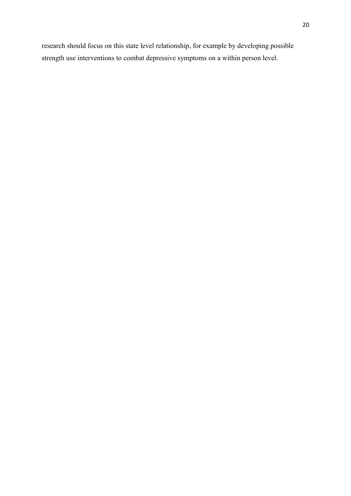research should focus on this state level relationship, for example by developing possible strength use interventions to combat depressive symptoms on a within person level.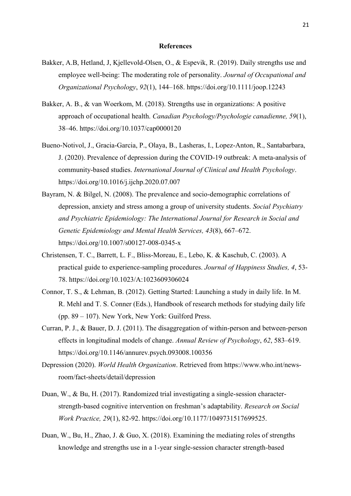#### **References**

- Bakker, A.B, Hetland, J, Kjellevold-Olsen, O., & Espevik, R. (2019). Daily strengths use and employee well-being: The moderating role of personality. *Journal of Occupational and Organizational Psychology*, *92*(1), 144–168. https://doi.org/10.1111/joop.12243
- Bakker, A. B., & van Woerkom, M. (2018). Strengths use in organizations: A positive approach of occupational health. *Canadian Psychology/Psychologie canadienne, 59*(1), 38–46. https://doi.org/10.1037/cap0000120
- Bueno-Notivol, J., Gracia-Garcia, P., Olaya, B., Lasheras, I., Lopez-Anton, R., Santabarbara, J. (2020). Prevalence of depression during the COVID-19 outbreak: A meta-analysis of community-based studies. *International Journal of Clinical and Health Psychology*. https://doi.org/10.1016/j.ijchp.2020.07.007
- Bayram, N. & Bilgel, N. (2008). The prevalence and socio-demographic correlations of depression, anxiety and stress among a group of university students. *Social Psychiatry and Psychiatric Epidemiology: The International Journal for Research in Social and Genetic Epidemiology and Mental Health Services, 43*(8), 667–672. https://doi.org/10.1007/s00127-008-0345-x
- Christensen, T. C., Barrett, L. F., Bliss-Moreau, E., Lebo, K. & Kaschub, C. (2003). A practical guide to experience-sampling procedures. *Journal of Happiness Studies, 4*, 53- 78. https://doi.org/10.1023/A:1023609306024
- Connor, T. S., & Lehman, B. (2012). Getting Started: Launching a study in daily life. In M. R. Mehl and T. S. Conner (Eds.), Handbook of research methods for studying daily life (pp. 89 – 107). New York, New York: Guilford Press.
- Curran, P. J., & Bauer, D. J. (2011). The disaggregation of within-person and between-person effects in longitudinal models of change. *Annual Review of Psychology*, *62*, 583–619. https://doi.org/10.1146/annurev.psych.093008.100356
- Depression (2020). *World Health Organization*. Retrieved from https://www.who.int/newsroom/fact-sheets/detail/depression
- Duan, W., & Bu, H. (2017). Randomized trial investigating a single-session characterstrength-based cognitive intervention on freshman's adaptability. *Research on Social Work Practice, 29*(1), 82-92. https://doi.org/10.1177/1049731517699525.
- Duan, W., Bu, H., Zhao, J. & Guo, X. (2018). Examining the mediating roles of strengths knowledge and strengths use in a 1-year single-session character strength-based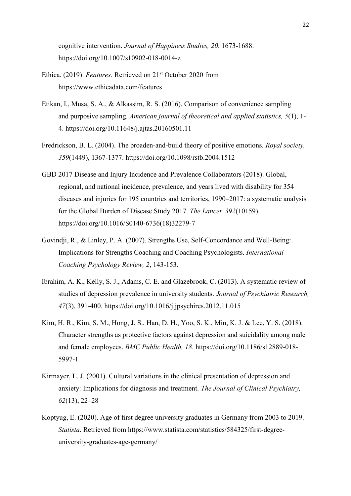cognitive intervention. *Journal of Happiness Studies, 20*, 1673-1688. https://doi.org/10.1007/s10902-018-0014-z

- Ethica. (2019). *Features*. Retrieved on 21<sup>st</sup> October 2020 from https://www.ethicadata.com/features
- Etikan, I., Musa, S. A., & Alkassim, R. S. (2016). Comparison of convenience sampling and purposive sampling. *American journal of theoretical and applied statistics, 5*(1), 1- 4. https://doi.org/10.11648/j.ajtas.20160501.11
- Fredrickson, B. L. (2004). The broaden-and-build theory of positive emotions. *Royal society, 359*(1449), 1367-1377. https://doi.org/10.1098/rstb.2004.1512
- GBD 2017 Disease and Injury Incidence and Prevalence Collaborators (2018). Global, regional, and national incidence, prevalence, and years lived with disability for 354 diseases and injuries for 195 countries and territories, 1990–2017: a systematic analysis for the Global Burden of Disease Study 2017. *The Lancet, 392*(10159). https://doi.org/10.1016/S0140-6736(18)32279-7
- Govindji, R., & Linley, P. A. (2007). Strengths Use, Self-Concordance and Well-Being: Implications for Strengths Coaching and Coaching Psychologists. *International Coaching Psychology Review, 2*, 143-153.
- Ibrahim, A. K., Kelly, S. J., Adams, C. E. and Glazebrook, C. (2013). A systematic review of studies of depression prevalence in university students. *Journal of Psychiatric Research, 47*(3), 391-400. https://doi.org/10.1016/j.jpsychires.2012.11.015
- Kim, H. R., Kim, S. M., Hong, J. S., Han, D. H., Yoo, S. K., Min, K. J. & Lee, Y. S. (2018). Character strengths as protective factors against depression and suicidality among male and female employees. *BMC Public Health, 18*. https://doi.org/10.1186/s12889-018- 5997-1
- Kirmayer, L. J. (2001). Cultural variations in the clinical presentation of depression and anxiety: Implications for diagnosis and treatment. *The Journal of Clinical Psychiatry, 62*(13), 22–28
- Koptyug, E. (2020). Age of first degree university graduates in Germany from 2003 to 2019. *Statista*. Retrieved from https://www.statista.com/statistics/584325/first-degreeuniversity-graduates-age-germany/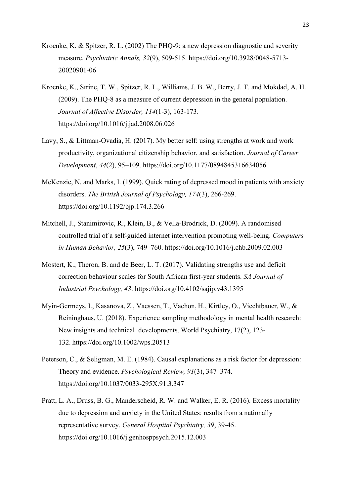- Kroenke, K. & Spitzer, R. L. (2002) The PHQ-9: a new depression diagnostic and severity measure. *Psychiatric Annals, 32*(9), 509-515. https://doi.org/10.3928/0048-5713- 20020901-06
- Kroenke, K., Strine, T. W., Spitzer, R. L., Williams, J. B. W., Berry, J. T. and Mokdad, A. H. (2009). The PHQ-8 as a measure of current depression in the general population. *Journal of Affective Disorder, 114*(1-3), 163-173. https://doi.org/10.1016/j.jad.2008.06.026
- Lavy, S., & Littman-Ovadia, H. (2017). My better self: using strengths at work and work productivity, organizational citizenship behavior, and satisfaction. *Journal of Career Development*, *44*(2), 95–109. https://doi.org/10.1177/0894845316634056
- McKenzie, N. and Marks, I. (1999). Quick rating of depressed mood in patients with anxiety disorders. *The British Journal of Psychology, 174*(3), 266-269. https://doi.org/10.1192/bjp.174.3.266
- Mitchell, J., Stanimirovic, R., Klein, B., & Vella-Brodrick, D. (2009). A randomised controlled trial of a self-guided internet intervention promoting well-being. *Computers in Human Behavior, 25*(3), 749–760. https://doi.org/10.1016/j.chb.2009.02.003
- Mostert, K., Theron, B. and de Beer, L. T. (2017). Validating strengths use and deficit correction behaviour scales for South African first-year students. *SA Journal of Industrial Psychology, 43*. https://doi.org/10.4102/sajip.v43.1395
- Myin-Germeys, I., Kasanova, Z., Vaessen, T., Vachon, H., Kirtley, O., Viechtbauer, W., & Reininghaus, U. (2018). Experience sampling methodology in mental health research: New insights and technical developments. World Psychiatry, 17(2), 123- 132. https://doi.org/10.1002/wps.20513
- Peterson, C., & Seligman, M. E. (1984). Causal explanations as a risk factor for depression: Theory and evidence. *Psychological Review, 91*(3), 347–374. https://doi.org/10.1037/0033-295X.91.3.347
- Pratt, L. A., Druss, B. G., Manderscheid, R. W. and Walker, E. R. (2016). Excess mortality due to depression and anxiety in the United States: results from a nationally representative survey. *General Hospital Psychiatry, 39*, 39-45. https://doi.org/10.1016/j.genhosppsych.2015.12.003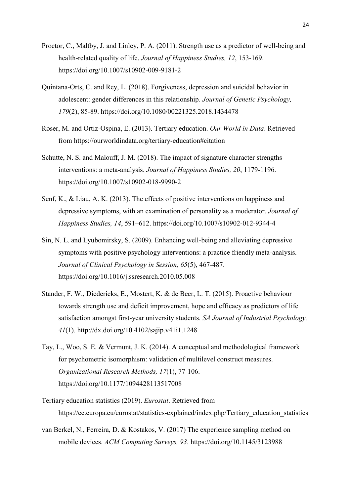- Proctor, C., Maltby, J. and Linley, P. A. (2011). Strength use as a predictor of well-being and health-related quality of life. *Journal of Happiness Studies, 12*, 153-169. https://doi.org/10.1007/s10902-009-9181-2
- Quintana-Orts, C. and Rey, L. (2018). Forgiveness, depression and suicidal behavior in adolescent: gender differences in this relationship. *Journal of Genetic Psychology, 179*(2), 85-89. https://doi.org/10.1080/00221325.2018.1434478
- Roser, M. and Ortiz-Ospina, E. (2013). Tertiary education. *Our World in Data*. Retrieved from https://ourworldindata.org/tertiary-education#citation
- Schutte, N. S. and Malouff, J. M. (2018). The impact of signature character strengths interventions: a meta-analysis. *Journal of Happiness Studies, 20*, 1179-1196. https://doi.org/10.1007/s10902-018-9990-2
- Senf, K., & Liau, A. K. (2013). The effects of positive interventions on happiness and depressive symptoms, with an examination of personality as a moderator. *Journal of Happiness Studies, 14*, 591–612. https://doi.org/10.1007/s10902-012-9344-4
- Sin, N. L. and Lyubomirsky, S. (2009). Enhancing well-being and alleviating depressive symptoms with positive psychology interventions: a practice friendly meta-analysis. *Journal of Clinical Psychology in Session, 65*(5), 467-487. https://doi.org/10.1016/j.ssresearch.2010.05.008
- Stander, F. W., Diedericks, E., Mostert, K. & de Beer, L. T. (2015). Proactive behaviour towards strength use and deficit improvement, hope and efficacy as predictors of life satisfaction amongst first-year university students. *SA Journal of Industrial Psychology, 41*(1). http://dx.doi.org/10.4102/sajip.v41i1.1248
- Tay, L., Woo, S. E. & Vermunt, J. K. (2014). A conceptual and methodological framework for psychometric isomorphism: validation of multilevel construct measures. *Organizational Research Methods, 17*(1), 77-106. https://doi.org/10.1177/1094428113517008
- Tertiary education statistics (2019). *Eurostat*. Retrieved from https://ec.europa.eu/eurostat/statistics-explained/index.php/Tertiary\_education\_statistics
- van Berkel, N., Ferreira, D. & Kostakos, V. (2017) The experience sampling method on mobile devices. *ACM Computing Surveys, 93*. https://doi.org/10.1145/3123988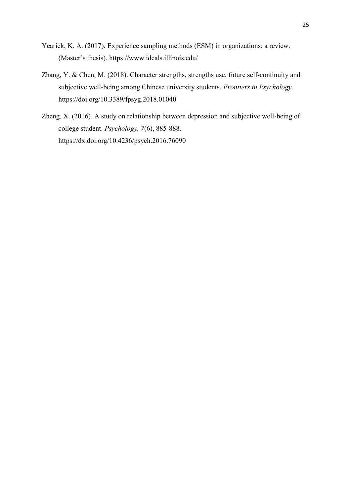- Yearick, K. A. (2017). Experience sampling methods (ESM) in organizations: a review. (Master's thesis). https://www.ideals.illinois.edu/
- Zhang, Y. & Chen, M. (2018). Character strengths, strengths use, future self-continuity and subjective well-being among Chinese university students. *Frontiers in Psychology*. https://doi.org/10.3389/fpsyg.2018.01040
- Zheng, X. (2016). A study on relationship between depression and subjective well-being of college student. *Psychology, 7*(6), 885-888. https://dx.doi.org/10.4236/psych.2016.76090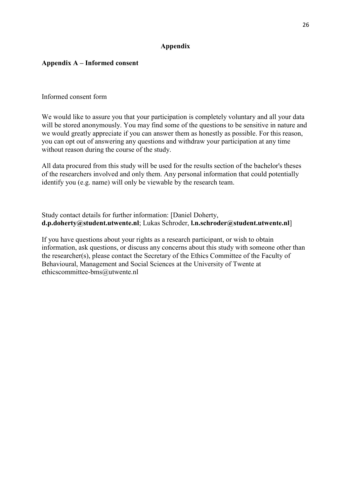# **Appendix**

# **Appendix A – Informed consent**

Informed consent form

We would like to assure you that your participation is completely voluntary and all your data will be stored anonymously. You may find some of the questions to be sensitive in nature and we would greatly appreciate if you can answer them as honestly as possible. For this reason, you can opt out of answering any questions and withdraw your participation at any time without reason during the course of the study.

All data procured from this study will be used for the results section of the bachelor's theses of the researchers involved and only them. Any personal information that could potentially identify you (e.g. name) will only be viewable by the research team.

Study contact details for further information: [Daniel Doherty, **d.p.doherty@student.utwente.nl**; Lukas Schroder, **l.n.schroder@student.utwente.nl**]

If you have questions about your rights as a research participant, or wish to obtain information, ask questions, or discuss any concerns about this study with someone other than the researcher(s), please contact the Secretary of the Ethics Committee of the Faculty of Behavioural, Management and Social Sciences at the University of Twente at ethicscommittee-bms@utwente.nl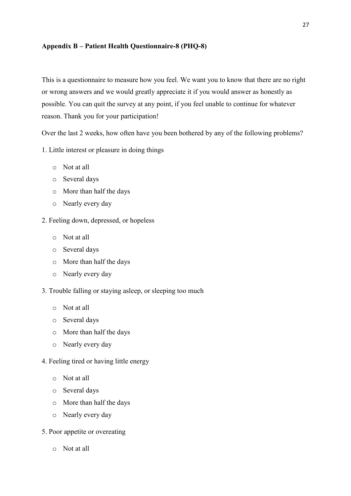# **Appendix B – Patient Health Questionnaire-8 (PHQ-8)**

This is a questionnaire to measure how you feel. We want you to know that there are no right or wrong answers and we would greatly appreciate it if you would answer as honestly as possible. You can quit the survey at any point, if you feel unable to continue for whatever reason. Thank you for your participation!

Over the last 2 weeks, how often have you been bothered by any of the following problems?

- 1. Little interest or pleasure in doing things
	- o Not at all
	- o Several days
	- o More than half the days
	- o Nearly every day
- 2. Feeling down, depressed, or hopeless
	- o Not at all
	- o Several days
	- o More than half the days
	- o Nearly every day
- 3. Trouble falling or staying asleep, or sleeping too much
	- o Not at all
	- o Several days
	- o More than half the days
	- o Nearly every day
- 4. Feeling tired or having little energy
	- o Not at all
	- o Several days
	- o More than half the days
	- o Nearly every day
- 5. Poor appetite or overeating
	- o Not at all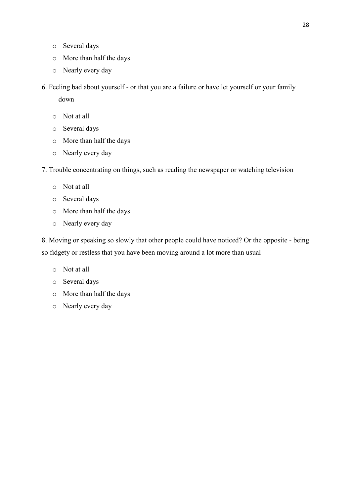- o Several days
- o More than half the days
- o Nearly every day
- 6. Feeling bad about yourself or that you are a failure or have let yourself or your family down
	- o Not at all
	- o Several days
	- o More than half the days
	- o Nearly every day
- 7. Trouble concentrating on things, such as reading the newspaper or watching television
	- o Not at all
	- o Several days
	- o More than half the days
	- o Nearly every day

8. Moving or speaking so slowly that other people could have noticed? Or the opposite - being so fidgety or restless that you have been moving around a lot more than usual

- o Not at all
- o Several days
- o More than half the days
- o Nearly every day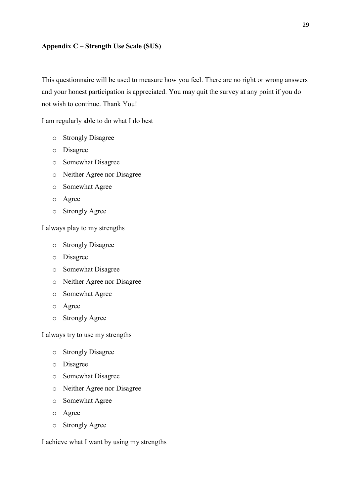# **Appendix C – Strength Use Scale (SUS)**

This questionnaire will be used to measure how you feel. There are no right or wrong answers and your honest participation is appreciated. You may quit the survey at any point if you do not wish to continue. Thank You!

I am regularly able to do what I do best

- o Strongly Disagree
- o Disagree
- o Somewhat Disagree
- o Neither Agree nor Disagree
- o Somewhat Agree
- o Agree
- o Strongly Agree

I always play to my strengths

- o Strongly Disagree
- o Disagree
- o Somewhat Disagree
- o Neither Agree nor Disagree
- o Somewhat Agree
- o Agree
- o Strongly Agree

I always try to use my strengths

- o Strongly Disagree
- o Disagree
- o Somewhat Disagree
- o Neither Agree nor Disagree
- o Somewhat Agree
- o Agree
- o Strongly Agree

I achieve what I want by using my strengths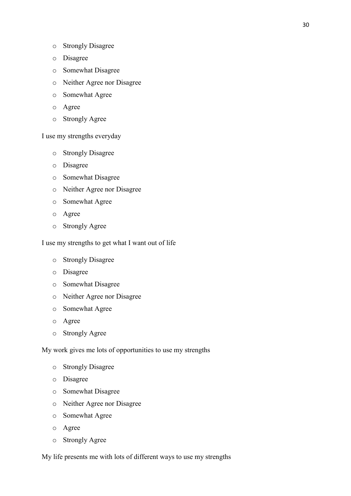- o Disagree
- o Somewhat Disagree
- o Neither Agree nor Disagree
- o Somewhat Agree
- o Agree
- o Strongly Agree

I use my strengths everyday

- o Strongly Disagree
- o Disagree
- o Somewhat Disagree
- o Neither Agree nor Disagree
- o Somewhat Agree
- o Agree
- o Strongly Agree

I use my strengths to get what I want out of life

- o Strongly Disagree
- o Disagree
- o Somewhat Disagree
- o Neither Agree nor Disagree
- o Somewhat Agree
- o Agree
- o Strongly Agree

My work gives me lots of opportunities to use my strengths

- o Strongly Disagree
- o Disagree
- o Somewhat Disagree
- o Neither Agree nor Disagree
- o Somewhat Agree
- o Agree
- o Strongly Agree

My life presents me with lots of different ways to use my strengths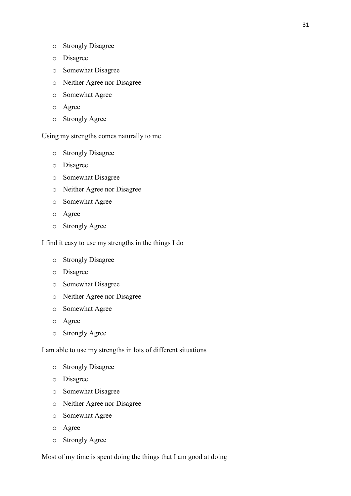- o Strongly Disagree
- o Disagree
- o Somewhat Disagree
- o Neither Agree nor Disagree
- o Somewhat Agree
- o Agree
- o Strongly Agree

Using my strengths comes naturally to me

- o Strongly Disagree
- o Disagree
- o Somewhat Disagree
- o Neither Agree nor Disagree
- o Somewhat Agree
- o Agree
- o Strongly Agree

I find it easy to use my strengths in the things I do

- o Strongly Disagree
- o Disagree
- o Somewhat Disagree
- o Neither Agree nor Disagree
- o Somewhat Agree
- o Agree
- o Strongly Agree

I am able to use my strengths in lots of different situations

- o Strongly Disagree
- o Disagree
- o Somewhat Disagree
- o Neither Agree nor Disagree
- o Somewhat Agree
- o Agree
- o Strongly Agree

Most of my time is spent doing the things that I am good at doing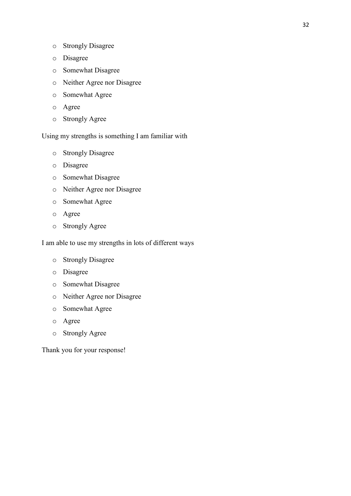- o Strongly Disagree
- o Disagree
- o Somewhat Disagree
- o Neither Agree nor Disagree
- o Somewhat Agree
- o Agree
- o Strongly Agree

# Using my strengths is something I am familiar with

- o Strongly Disagree
- o Disagree
- o Somewhat Disagree
- o Neither Agree nor Disagree
- o Somewhat Agree
- o Agree
- o Strongly Agree

# I am able to use my strengths in lots of different ways

- o Strongly Disagree
- o Disagree
- o Somewhat Disagree
- o Neither Agree nor Disagree
- o Somewhat Agree
- o Agree
- o Strongly Agree

Thank you for your response!